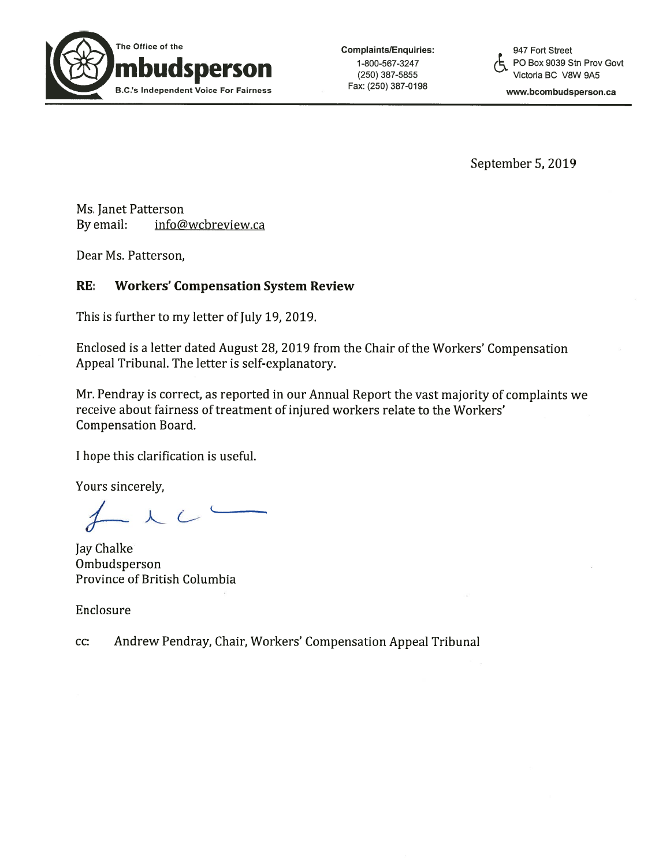

September 5, 2019

Ms. Janet Patterson By email: info@wcbreview.ca

Dear Ms. Patterson,

## RE: Workers' Compensation System Review

This is further to my letter of July 19, 2019.

Enclosed is <sup>a</sup> letter dated August 28, 2019 from the Chair of the Workers' Compensation Appeal Tribunal. The letter is self-explanatory.

Mr. Pendray is correct, as reported in our Annual Report the vast majority of complaints we receive about fairness of treatment of injured workers relate to the Workers' Compensation Board.

I hope this clarification is useful.

Yours sincerely,

 $-LC$ 

Jay Chalke Ombudsperson Province of British Columbia

Enclosure

cc: Andrew Pendray, Chair, Workers' Compensation Appeal Tribunal